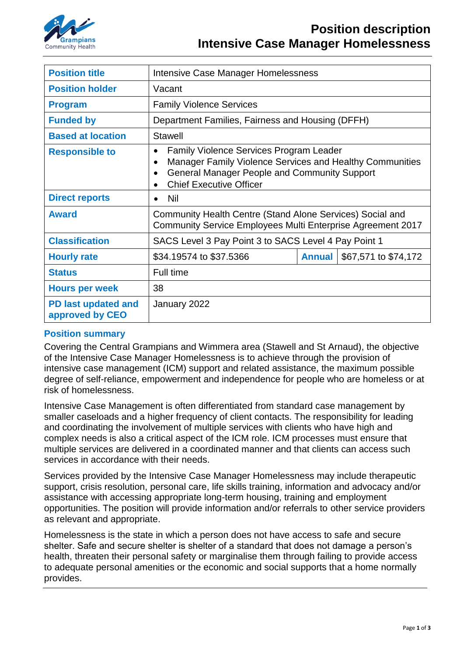

| <b>Position title</b>                  | Intensive Case Manager Homelessness                                                                                                                                                                                                        |               |                      |
|----------------------------------------|--------------------------------------------------------------------------------------------------------------------------------------------------------------------------------------------------------------------------------------------|---------------|----------------------|
| <b>Position holder</b>                 | Vacant                                                                                                                                                                                                                                     |               |                      |
| <b>Program</b>                         | <b>Family Violence Services</b>                                                                                                                                                                                                            |               |                      |
| <b>Funded by</b>                       | Department Families, Fairness and Housing (DFFH)                                                                                                                                                                                           |               |                      |
| <b>Based at location</b>               | Stawell                                                                                                                                                                                                                                    |               |                      |
| <b>Responsible to</b>                  | <b>Family Violence Services Program Leader</b><br>$\bullet$<br>Manager Family Violence Services and Healthy Communities<br>$\bullet$<br><b>General Manager People and Community Support</b><br>$\bullet$<br><b>Chief Executive Officer</b> |               |                      |
| <b>Direct reports</b>                  | Nil                                                                                                                                                                                                                                        |               |                      |
| <b>Award</b>                           | Community Health Centre (Stand Alone Services) Social and<br>Community Service Employees Multi Enterprise Agreement 2017                                                                                                                   |               |                      |
| <b>Classification</b>                  | SACS Level 3 Pay Point 3 to SACS Level 4 Pay Point 1                                                                                                                                                                                       |               |                      |
| <b>Hourly rate</b>                     | \$34.19574 to \$37.5366                                                                                                                                                                                                                    | <b>Annual</b> | \$67,571 to \$74,172 |
| <b>Status</b>                          | Full time                                                                                                                                                                                                                                  |               |                      |
| <b>Hours per week</b>                  | 38                                                                                                                                                                                                                                         |               |                      |
| PD last updated and<br>approved by CEO | January 2022                                                                                                                                                                                                                               |               |                      |

# **Position summary**

Covering the Central Grampians and Wimmera area (Stawell and St Arnaud), the objective of the Intensive Case Manager Homelessness is to achieve through the provision of intensive case management (ICM) support and related assistance, the maximum possible degree of self-reliance, empowerment and independence for people who are homeless or at risk of homelessness.

Intensive Case Management is often differentiated from standard case management by smaller caseloads and a higher frequency of client contacts. The responsibility for leading and coordinating the involvement of multiple services with clients who have high and complex needs is also a critical aspect of the ICM role. ICM processes must ensure that multiple services are delivered in a coordinated manner and that clients can access such services in accordance with their needs.

Services provided by the Intensive Case Manager Homelessness may include therapeutic support, crisis resolution, personal care, life skills training, information and advocacy and/or assistance with accessing appropriate long-term housing, training and employment opportunities. The position will provide information and/or referrals to other service providers as relevant and appropriate.

Homelessness is the state in which a person does not have access to safe and secure shelter. Safe and secure shelter is shelter of a standard that does not damage a person's health, threaten their personal safety or marginalise them through failing to provide access to adequate personal amenities or the economic and social supports that a home normally provides.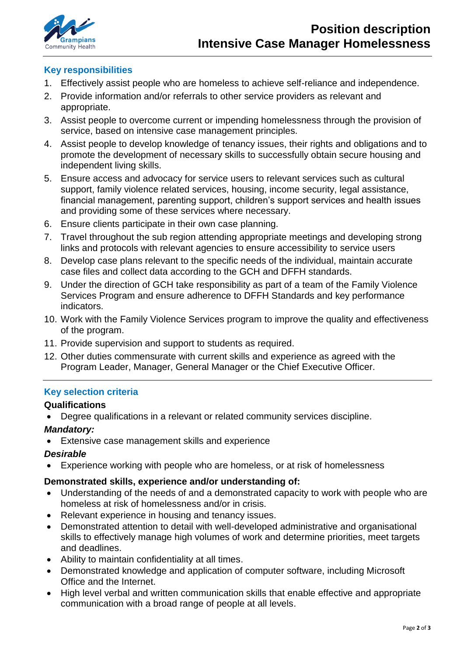

# **Key responsibilities**

- 1. Effectively assist people who are homeless to achieve self-reliance and independence.
- 2. Provide information and/or referrals to other service providers as relevant and appropriate.
- 3. Assist people to overcome current or impending homelessness through the provision of service, based on intensive case management principles.
- 4. Assist people to develop knowledge of tenancy issues, their rights and obligations and to promote the development of necessary skills to successfully obtain secure housing and independent living skills.
- 5. Ensure access and advocacy for service users to relevant services such as cultural support, family violence related services, housing, income security, legal assistance, financial management, parenting support, children's support services and health issues and providing some of these services where necessary.
- 6. Ensure clients participate in their own case planning.
- 7. Travel throughout the sub region attending appropriate meetings and developing strong links and protocols with relevant agencies to ensure accessibility to service users
- 8. Develop case plans relevant to the specific needs of the individual, maintain accurate case files and collect data according to the GCH and DFFH standards.
- 9. Under the direction of GCH take responsibility as part of a team of the Family Violence Services Program and ensure adherence to DFFH Standards and key performance indicators.
- 10. Work with the Family Violence Services program to improve the quality and effectiveness of the program.
- 11. Provide supervision and support to students as required.
- 12. Other duties commensurate with current skills and experience as agreed with the Program Leader, Manager, General Manager or the Chief Executive Officer.

# **Key selection criteria**

### **Qualifications**

• Degree qualifications in a relevant or related community services discipline.

### *Mandatory:*

Extensive case management skills and experience

### *Desirable*

• Experience working with people who are homeless, or at risk of homelessness

### **Demonstrated skills, experience and/or understanding of:**

- Understanding of the needs of and a demonstrated capacity to work with people who are homeless at risk of homelessness and/or in crisis.
- Relevant experience in housing and tenancy issues.
- Demonstrated attention to detail with well-developed administrative and organisational skills to effectively manage high volumes of work and determine priorities, meet targets and deadlines.
- Ability to maintain confidentiality at all times.
- Demonstrated knowledge and application of computer software, including Microsoft Office and the Internet.
- High level verbal and written communication skills that enable effective and appropriate communication with a broad range of people at all levels.